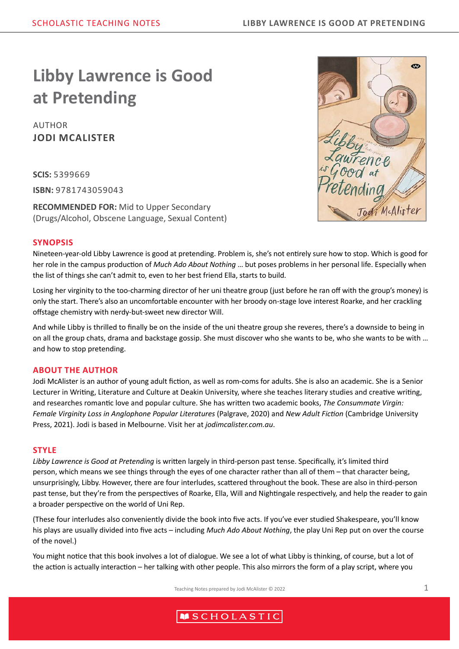# **Libby Lawrence is Good at Pretending**

AUTHOR **JODI MCALISTER**

**SCIS:** 5399669 **ISBN:** 9781743059043

**RECOMMENDED FOR:** Mid to Upper Secondary (Drugs/Alcohol, Obscene Language, Sexual Content)

#### **SYNOPSIS**

Nineteen-year-old Libby Lawrence is good at pretending. Problem is, she's not entirely sure how to stop. Which is good for her role in the campus production of *Much Ado About Nothing* … but poses problems in her personal life. Especially when the list of things she can't admit to, even to her best friend Ella, starts to build.

Losing her virginity to the too-charming director of her uni theatre group (just before he ran off with the group's money) is only the start. There's also an uncomfortable encounter with her broody on-stage love interest Roarke, and her crackling offstage chemistry with nerdy-but-sweet new director Will.

And while Libby is thrilled to finally be on the inside of the uni theatre group she reveres, there's a downside to being in on all the group chats, drama and backstage gossip. She must discover who she wants to be, who she wants to be with … and how to stop pretending.

#### **ABOUT THE AUTHOR**

Jodi McAlister is an author of young adult fiction, as well as rom-coms for adults. She is also an academic. She is a Senior Lecturer in Writing, Literature and Culture at Deakin University, where she teaches literary studies and creative writing, and researches romantic love and popular culture. She has written two academic books, *The Consummate Virgin: Female Virginity Loss in Anglophone Popular Literatures* (Palgrave, 2020) and *New Adult Fiction* (Cambridge University Press, 2021). Jodi is based in Melbourne. Visit her at *jodimcalister.com.au*.

#### **STYLE**

*Libby Lawrence is Good at Pretending* is written largely in third-person past tense. Specifically, it's limited third person, which means we see things through the eyes of one character rather than all of them – that character being, unsurprisingly, Libby. However, there are four interludes, scattered throughout the book. These are also in third-person past tense, but they're from the perspectives of Roarke, Ella, Will and Nightingale respectively, and help the reader to gain a broader perspective on the world of Uni Rep.

(These four interludes also conveniently divide the book into five acts. If you've ever studied Shakespeare, you'll know his plays are usually divided into five acts – including *Much Ado About Nothing*, the play Uni Rep put on over the course of the novel.)

You might notice that this book involves a lot of dialogue. We see a lot of what Libby is thinking, of course, but a lot of the action is actually interaction – her talking with other people. This also mirrors the form of a play script, where you

Teaching Notes prepared by Jodi McAlister © 2022 1



# **MSCHOLASTIC**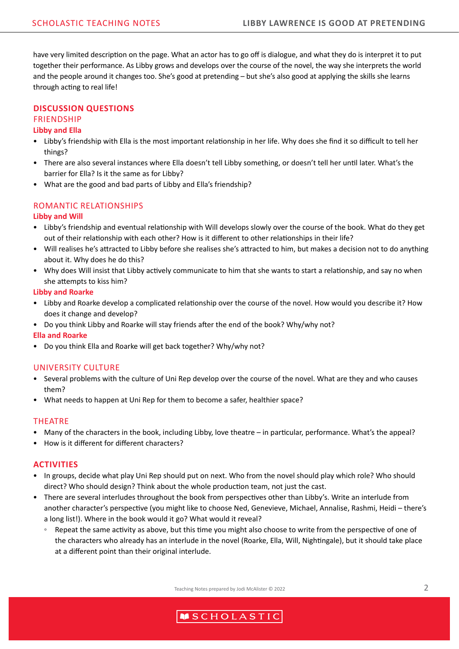have very limited description on the page. What an actor has to go off is dialogue, and what they do is interpret it to put together their performance. As Libby grows and develops over the course of the novel, the way she interprets the world and the people around it changes too. She's good at pretending – but she's also good at applying the skills she learns through acting to real life!

# **DISCUSSION QUESTIONS**

#### **FRIENDSHIP Libby and Ella**

- Libby's friendship with Ella is the most important relationship in her life. Why does she find it so difficult to tell her things?
- There are also several instances where Ella doesn't tell Libby something, or doesn't tell her until later. What's the barrier for Ella? Is it the same as for Libby?
- What are the good and bad parts of Libby and Ella's friendship?

# ROMANTIC RELATIONSHIPS

# **Libby and Will**

- Libby's friendship and eventual relationship with Will develops slowly over the course of the book. What do they get out of their relationship with each other? How is it different to other relationships in their life?
- Will realises he's attracted to Libby before she realises she's attracted to him, but makes a decision not to do anything about it. Why does he do this?
- Why does Will insist that Libby actively communicate to him that she wants to start a relationship, and say no when she attempts to kiss him?

### **Libby and Roarke**

- Libby and Roarke develop a complicated relationship over the course of the novel. How would you describe it? How does it change and develop?
- Do you think Libby and Roarke will stay friends after the end of the book? Why/why not?

#### **Ella and Roarke**

• Do you think Ella and Roarke will get back together? Why/why not?

# UNIVERSITY CULTURE

- Several problems with the culture of Uni Rep develop over the course of the novel. What are they and who causes them?
- What needs to happen at Uni Rep for them to become a safer, healthier space?

#### THEATRE

- Many of the characters in the book, including Libby, love theatre in particular, performance. What's the appeal?
- How is it different for different characters?

# **ACTIVITIES**

- In groups, decide what play Uni Rep should put on next. Who from the novel should play which role? Who should direct? Who should design? Think about the whole production team, not just the cast.
- There are several interludes throughout the book from perspectives other than Libby's. Write an interlude from another character's perspective (you might like to choose Ned, Genevieve, Michael, Annalise, Rashmi, Heidi – there's a long list!). Where in the book would it go? What would it reveal?
	- Repeat the same activity as above, but this time you might also choose to write from the perspective of one of the characters who already has an interlude in the novel (Roarke, Ella, Will, Nightingale), but it should take place at a different point than their original interlude.

Teaching Notes prepared by Jodi McAlister © 2022 2

# **MSCHOLASTIC**